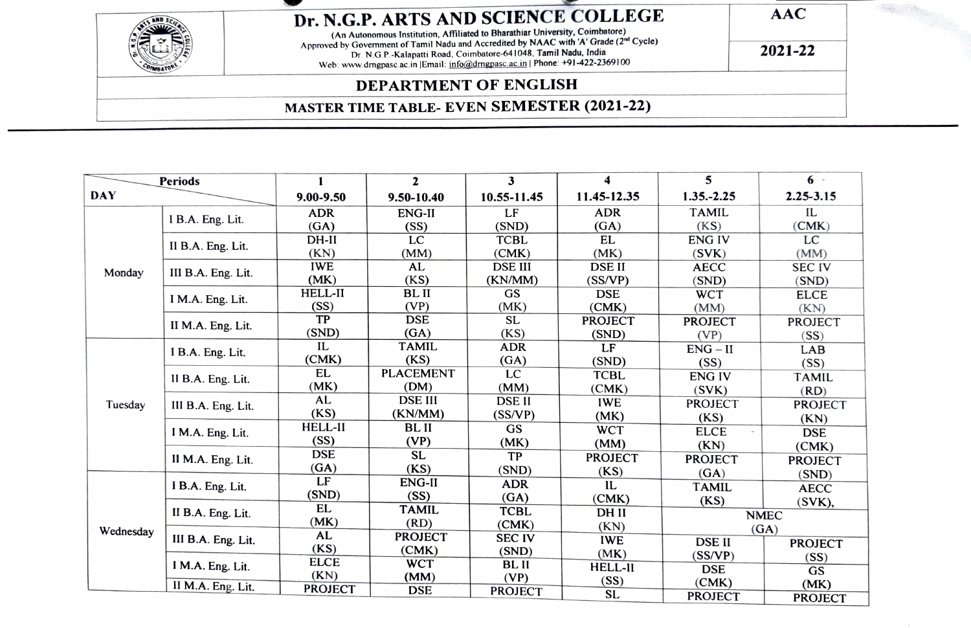| Dr. N.G.P. ARTS AND SCIENCE COLLEGE                                                                                                                                                                                                                                                                                        | $\bf AAC$ |  |
|----------------------------------------------------------------------------------------------------------------------------------------------------------------------------------------------------------------------------------------------------------------------------------------------------------------------------|-----------|--|
| (An Autonomous Institution, Affiliated to Bharathiar University, Coimbatore)<br>Approved by Government of Tamil Nadu and Accredited by NAAC with 'A' Grade (2nd Cycle)<br>Dr. N.G.P.-Kalapatti Road, Coimbatore-641048, Tamil Nadu, India<br>Web: www.drngpasc.ac.in   Email: info@drngpasc.ac.in   Phone: +91-422-2369100 | 2021-22   |  |
| <b>DEPARTMENT OF ENGLISH</b>                                                                                                                                                                                                                                                                                               |           |  |
| <b>MASTER TIME TABLE- EVEN SEMESTER (2021-22)</b>                                                                                                                                                                                                                                                                          |           |  |

| <b>Periods</b> |                                       |                | $\mathbf{2}$     | 3              | 4              | 5              | $6 -$          |
|----------------|---------------------------------------|----------------|------------------|----------------|----------------|----------------|----------------|
| <b>DAY</b>     |                                       | $9.00 - 9.50$  | 9.50-10.40       | 10.55-11.45    | 11.45-12.35    | $1.35 - 2.25$  | $2.25 - 3.15$  |
| Monday         | I B.A. Eng. Lit.                      | <b>ADR</b>     | <b>ENG-II</b>    | LF             | <b>ADR</b>     | <b>TAMIL</b>   | IL             |
|                |                                       | (GA)           | (SS)             | (SND)          | (GA)           | (KS)           | (CMK)          |
|                | II B.A. Eng. Lit.                     | $DH-II$        | LC               | <b>TCBL</b>    | EL             | <b>ENGIV</b>   | LC             |
|                |                                       | (KN)           | (MM)             | (CMK)          | (MK)           | (SVK)          | (MM)           |
|                | III B.A. Eng. Lit.                    | <b>IWE</b>     | AL               | <b>DSE III</b> | <b>DSE II</b>  | <b>AECC</b>    | <b>SEC IV</b>  |
|                |                                       | (MK)           | (KS)             | (KN/MM)        | (SS/VP)        | (SND)          | (SND)          |
|                | I M.A. Eng. Lit.                      | <b>HELL-II</b> | <b>BLII</b>      | <b>GS</b>      | <b>DSE</b>     | <b>WCT</b>     | <b>ELCE</b>    |
|                |                                       | (SS)           | (VP)             | (MK)           | (CMK)          | (MM)           | (KN)           |
|                | II M.A. Eng. Lit.                     | TP             | <b>DSE</b>       | <b>SL</b>      | <b>PROJECT</b> | <b>PROJECT</b> | <b>PROJECT</b> |
|                |                                       | (SND)          | (GA)             | (KS)           | (SND)          | (VP)           | (SS)           |
|                | I B.A. Eng. Lit.                      | IL             | <b>TAMIL</b>     | <b>ADR</b>     | LF             | ENG – II       | LAB            |
|                |                                       | (CMK)          | (KS)             | (GA)           | (SND)          | (SS)           | (SS)           |
|                | II B.A. Eng. Lit.                     | <b>EL</b>      | <b>PLACEMENT</b> | <b>LC</b>      | <b>TCBL</b>    | <b>ENGIV</b>   | <b>TAMIL</b>   |
|                |                                       | (MK)           | (DM)             | (MM)           | (CMK)          | (SVK)          | (RD)           |
| Tuesday        | III B.A. Eng. Lit.                    | AL             | <b>DSE III</b>   | <b>DSE II</b>  | <b>IWE</b>     | <b>PROJECT</b> | <b>PROJECT</b> |
|                |                                       | (KS)           | (KN/MM)          | (SS/VP)        | (MK)           | (KS)           | (KN)           |
|                | I M.A. Eng. Lit.<br>II M.A. Eng. Lit. | <b>HELL-II</b> | <b>BLII</b>      | <b>GS</b>      | <b>WCT</b>     | <b>ELCE</b>    | <b>DSE</b>     |
| Wednesday      |                                       | (SS)           | (VP)             | (MK)           | (MM)           | (KN)           | (CMK)          |
|                |                                       | <b>DSE</b>     | <b>SL</b>        | TP             | <b>PROJECT</b> | <b>PROJECT</b> | <b>PROJECT</b> |
|                |                                       | (GA)           | (KS)             | (SND)          | (KS)           | (GA)           | (SND)          |
|                | I B.A. Eng. Lit.                      | LF             | ENG-II           | <b>ADR</b>     | IL             | <b>TAMIL</b>   | <b>AECC</b>    |
|                |                                       | (SND)          | (SS)             | (GA)           | (CMK)          | (KS)           | (SVK),         |
|                | II B.A. Eng. Lit.                     | EL             | <b>TAMIL</b>     | <b>TCBL</b>    | DH II          |                | <b>NMEC</b>    |
|                |                                       | (MK)           | (RD)             | (CMK)          | (KN)           |                | (GA)           |
|                | III B.A. Eng. Lit.                    | AL             | <b>PROJECT</b>   | <b>SEC IV</b>  | <b>IWE</b>     | <b>DSE II</b>  | <b>PROJECT</b> |
|                | I M.A. Eng. Lit.                      | (KS)           | (CMK)            | (SND)          | (MK)           | (SS/VP)        | (SS)           |
|                |                                       | <b>ELCE</b>    | <b>WCT</b>       | BL II          | <b>HELL-II</b> | <b>DSE</b>     | GS             |
|                | II M.A. Eng. Lit.                     | (KN)           | (MM)             | (VP)           | (SS)           | (CMK)          | (MK)           |
|                |                                       | <b>PROJECT</b> | <b>DSE</b>       | <b>PROJECT</b> | <b>SL</b>      | <b>PROJECT</b> | <b>PROJECT</b> |